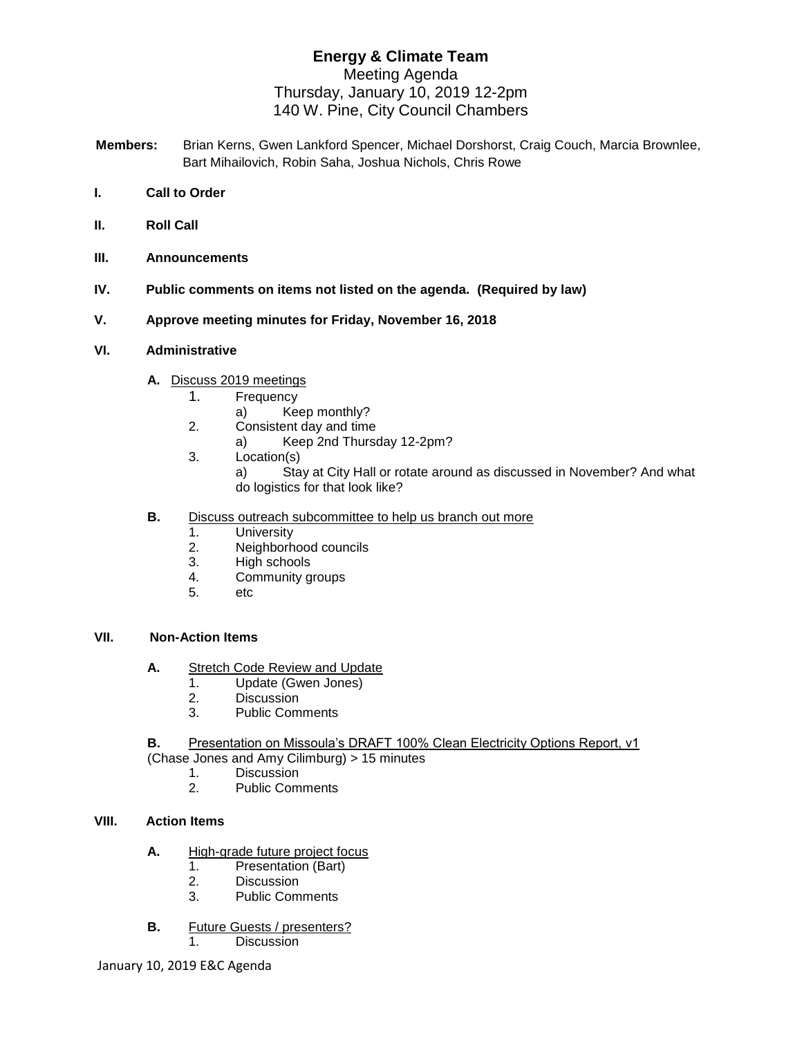# **Energy & Climate Team**  Meeting Agenda Thursday, January 10, 2019 12-2pm 140 W. Pine, City Council Chambers

- **Members:** Brian Kerns, Gwen Lankford Spencer, Michael Dorshorst, Craig Couch, Marcia Brownlee, Bart Mihailovich, Robin Saha, Joshua Nichols, Chris Rowe
- **I. Call to Order**
- **II. Roll Call**
- **III. Announcements**
- **IV. Public comments on items not listed on the agenda. (Required by law)**
- **V. Approve meeting minutes for Friday, November 16, 2018**

#### **VI. Administrative**

- **A.** Discuss 2019 meetings
	- 1. Frequency
		- a) Keep monthly?
	- 2. Consistent day and time
		- a) Keep 2nd Thursday 12-2pm?
	- 3. Location(s) a) Stay at City Hall or rotate around as discussed in November? And what do logistics for that look like?
- **B.** Discuss outreach subcommittee to help us branch out more
	- 1. University
	- 2. Neighborhood councils
	- 3. High schools
	- 4. Community groups
	- 5. etc

### **VII. Non-Action Items**

- **A.** Stretch Code Review and Update
	- 1. Update (Gwen Jones)
	- 2. Discussion
	- 3. Public Comments
- **B.** Presentation on Missoula's DRAFT 100% Clean Electricity Options Report, v1

(Chase Jones and Amy Cilimburg) > 15 minutes

- 1. Discussion<br>2 Public Com
	- 2. Public Comments

### **VIII. Action Items**

- **A.** High-grade future project focus
	- 1. Presentation (Bart)
	- 2. Discussion
	- 3. Public Comments
- **B.** Future Guests / presenters?
	- 1. Discussion